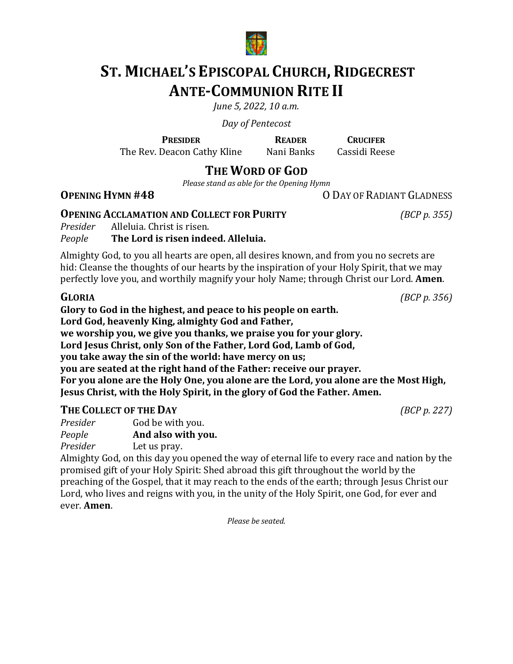

# **ST. MICHAEL'S EPISCOPAL CHURCH, RIDGECREST ANTE-COMMUNION RITE II**

*June 5, 2022, 10 a.m.*

*Day of Pentecost*

**PRESIDER READER CRUCIFER** The Rev. Deacon Cathy Kline Nani Banks Cassidi Reese

# **THE WORD OF GOD**

*Please stand as able for the Opening Hymn* 

## **OPENING HYMN #48** O DAY OF RADIANT GLADNESS

# **OPENING ACCLAMATION AND COLLECT FOR PURITY** *(BCP p. 355)*

*Presider* Alleluia. Christ is risen.<br>**People The Lord is risen inde** 

**The Lord is risen indeed. Alleluia.** 

Almighty God, to you all hearts are open, all desires known, and from you no secrets are hid: Cleanse the thoughts of our hearts by the inspiration of your Holy Spirit, that we may perfectly love you, and worthily magnify your holy Name; through Christ our Lord. **Amen.** 

Glory to God in the highest, and peace to his people on earth. Lord God, heavenly King, almighty God and Father, we worship you, we give you thanks, we praise you for your glory. Lord Jesus Christ, only Son of the Father, Lord God, Lamb of God, **you take away the sin of the world: have mercy on us; you are seated at the right hand of the Father: receive our prayer.** For you alone are the Holy One, you alone are the Lord, you alone are the Most High, **Jesus Christ, with the Holy Spirit, in the glory of God the Father. Amen.** 

# **THE COLLECT OF THE DAY** *(BCP p. 227)*

*Presider* God be with you.<br>*People* **And also with vo** And also with you. *Presider* Let us pray.

Almighty God, on this day you opened the way of eternal life to every race and nation by the promised gift of your Holy Spirit: Shed abroad this gift throughout the world by the preaching of the Gospel, that it may reach to the ends of the earth; through Jesus Christ our Lord, who lives and reigns with you, in the unity of the Holy Spirit, one God, for ever and ever. **Amen**.

*Please be seated.*

**GLORIA** *(BCP* p. 356)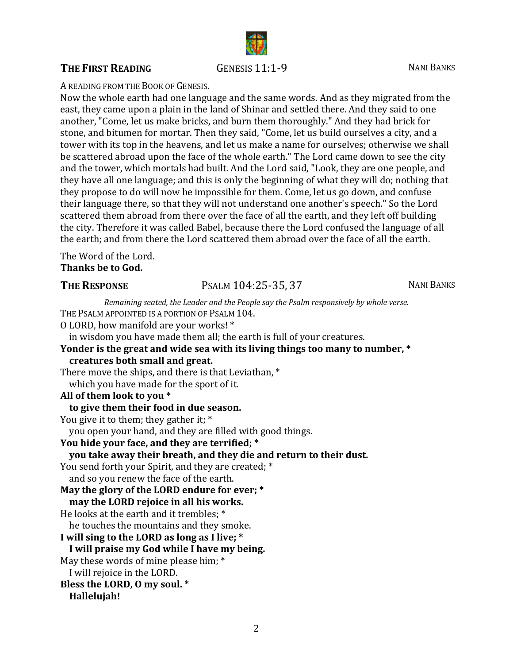### 2

### **THE FIRST READING GENESIS 11:1-9 NANI BANKS**

A READING FROM THE BOOK OF GENESIS.

Now the whole earth had one language and the same words. And as they migrated from the east, they came upon a plain in the land of Shinar and settled there. And they said to one another, "Come, let us make bricks, and burn them thoroughly." And they had brick for stone, and bitumen for mortar. Then they said, "Come, let us build ourselves a city, and a tower with its top in the heavens, and let us make a name for ourselves; otherwise we shall be scattered abroad upon the face of the whole earth." The Lord came down to see the city and the tower, which mortals had built. And the Lord said, "Look, they are one people, and they have all one language; and this is only the beginning of what they will do; nothing that they propose to do will now be impossible for them. Come, let us go down, and confuse their language there, so that they will not understand one another's speech." So the Lord scattered them abroad from there over the face of all the earth, and they left off building the city. Therefore it was called Babel, because there the Lord confused the language of all the earth; and from there the Lord scattered them abroad over the face of all the earth.

The Word of the Lord. **Thanks be to God.** 

### **THE RESPONSE** PSALM 104:25-35, 37 NANI BANKS

*Remaining seated, the Leader and the People say the Psalm responsively by whole verse.* THE PSALM APPOINTED IS A PORTION OF PSALM 104. O LORD, how manifold are your works! \* in wisdom you have made them all; the earth is full of your creatures. **Yonder is the great and wide sea with its living things too many to number, \* creatures both small and great.** There move the ships, and there is that Leviathan,  $*$ which you have made for the sport of it. All of them look to you \* to give them their food in due season. You give it to them; they gather it;  $*$ you open your hand, and they are filled with good things. You hide your face, and they are terrified; \* **you take away their breath, and they die and return to their dust.** You send forth your Spirit, and they are created; \* and so you renew the face of the earth. May the glory of the LORD endure for ever; \*  **may the LORD rejoice in all his works.** He looks at the earth and it trembles:  $*$ he touches the mountains and they smoke. **I** will sing to the LORD as long as I live; \* **I** will praise my God while I have my being. May these words of mine please him;  $*$ I will rejoice in the LORD. Bless the LORD, 0 my soul. \*  **Hallelujah!**

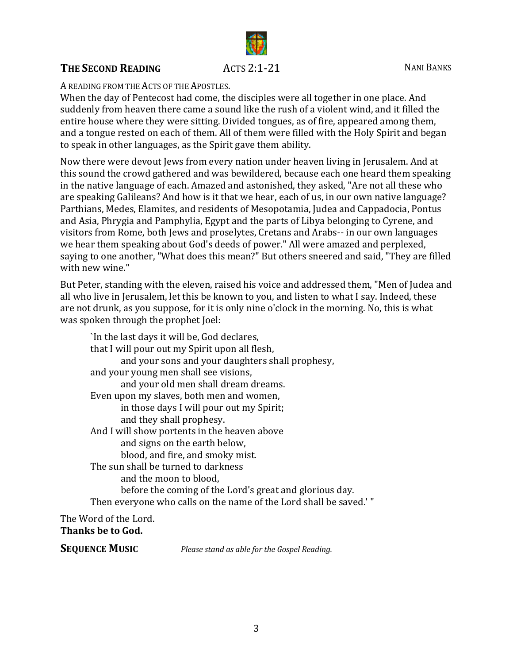

# **THE SECOND READING** ACTS 2:1-21 **NANIBANKS**

A READING FROM THE ACTS OF THE APOSTLES.

When the day of Pentecost had come, the disciples were all together in one place. And suddenly from heaven there came a sound like the rush of a violent wind, and it filled the entire house where they were sitting. Divided tongues, as of fire, appeared among them, and a tongue rested on each of them. All of them were filled with the Holy Spirit and began to speak in other languages, as the Spirit gave them ability.

Now there were devout Jews from every nation under heaven living in Jerusalem. And at this sound the crowd gathered and was bewildered, because each one heard them speaking in the native language of each. Amazed and astonished, they asked, "Are not all these who are speaking Galileans? And how is it that we hear, each of us, in our own native language? Parthians, Medes, Elamites, and residents of Mesopotamia, Judea and Cappadocia, Pontus and Asia, Phrygia and Pamphylia, Egypt and the parts of Libya belonging to Cyrene, and visitors from Rome, both Jews and proselytes, Cretans and Arabs-- in our own languages we hear them speaking about God's deeds of power." All were amazed and perplexed, saying to one another, "What does this mean?" But others sneered and said, "They are filled with new wine."

But Peter, standing with the eleven, raised his voice and addressed them, "Men of Judea and all who live in Jerusalem, let this be known to you, and listen to what I say, Indeed, these are not drunk, as you suppose, for it is only nine o'clock in the morning. No, this is what was spoken through the prophet Joel:

`In the last days it will be, God declares, that I will pour out my Spirit upon all flesh, and your sons and your daughters shall prophesy, and your young men shall see visions, and your old men shall dream dreams. Even upon my slaves, both men and women, in those days I will pour out my Spirit; and they shall prophesy. And I will show portents in the heaven above and signs on the earth below, blood, and fire, and smoky mist. The sun shall be turned to darkness and the moon to blood. before the coming of the Lord's great and glorious day. Then everyone who calls on the name of the Lord shall be saved.'"

The Word of the Lord. **Thanks be to God.** 

**SEQUENCE MUSIC** *Please stand as able for the Gospel Reading.*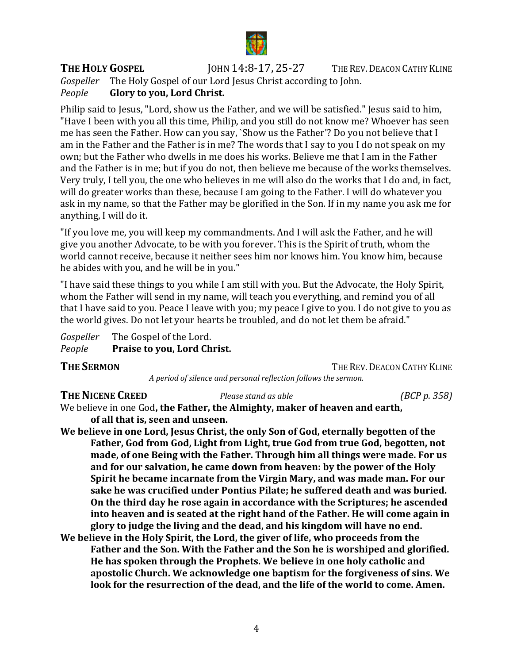

**THE HOLY GOSPEL JOHN 14:8-17, 25-27** THE REV. DEACON CATHY KLINE *Gospeller* The Holy Gospel of our Lord Jesus Christ according to John.<br>People **Glory to you, Lord Christ. Glory to you, Lord Christ.** 

Philip said to Jesus, "Lord, show us the Father, and we will be satisfied." Jesus said to him, "Have I been with you all this time, Philip, and you still do not know me? Whoever has seen me has seen the Father. How can you say, `Show us the Father'? Do you not believe that I am in the Father and the Father is in me? The words that I say to you I do not speak on my own; but the Father who dwells in me does his works. Believe me that I am in the Father and the Father is in me; but if you do not, then believe me because of the works themselves. Very truly, I tell you, the one who believes in me will also do the works that I do and, in fact, will do greater works than these, because I am going to the Father. I will do whatever you ask in my name, so that the Father may be glorified in the Son. If in my name you ask me for anything, I will do it.

"If you love me, you will keep my commandments. And I will ask the Father, and he will give you another Advocate, to be with you forever. This is the Spirit of truth, whom the world cannot receive, because it neither sees him nor knows him. You know him, because he abides with you, and he will be in you."

"I have said these things to you while I am still with you. But the Advocate, the Holy Spirit, whom the Father will send in my name, will teach you everything, and remind you of all that I have said to you. Peace I leave with you; my peace I give to you. I do not give to you as the world gives. Do not let your hearts be troubled, and do not let them be afraid."

| Gospeller | The Gospel of the Lord.     |
|-----------|-----------------------------|
| People    | Praise to you, Lord Christ. |

**THE SERMON** THE REV. DEACON CATHY KLINE *A period of silence and personal reflection follows the sermon.*

### **THE NICENE CREED** *Please stand as able (BCP p. 358)*

We believe in one God, the Father, the Almighty, maker of heaven and earth, of all that is, seen and unseen.

- We believe in one Lord, Jesus Christ, the only Son of God, eternally begotten of the Father, God from God, Light from Light, true God from true God, begotten, not made, of one Being with the Father. Through him all things were made. For us and for our salvation, he came down from heaven: by the power of the Holy **Spirit he became incarnate from the Virgin Mary, and was made man. For our** sake he was crucified under Pontius Pilate; he suffered death and was buried. On the third day he rose again in accordance with the Scriptures; he ascended into heaven and is seated at the right hand of the Father. He will come again in glory to judge the living and the dead, and his kingdom will have no end.
- We believe in the Holy Spirit, the Lord, the giver of life, who proceeds from the Father and the Son. With the Father and the Son he is worshiped and glorified. He has spoken through the Prophets. We believe in one holy catholic and apostolic Church. We acknowledge one baptism for the forgiveness of sins. We look for the resurrection of the dead, and the life of the world to come. Amen.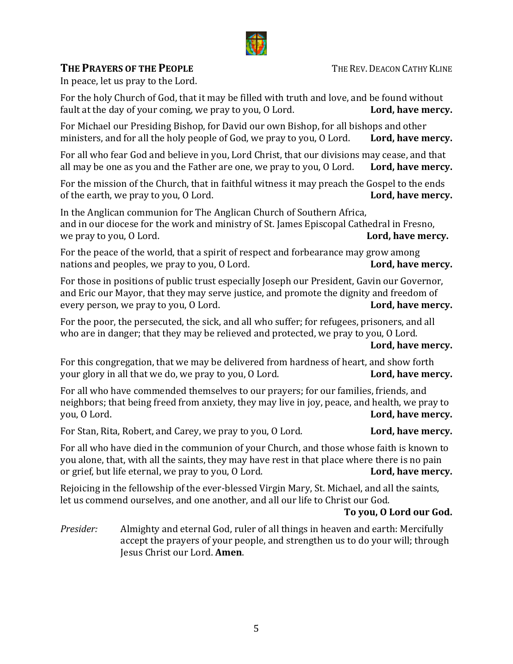# **THE PRAYERS OF THE PEOPLE THE SEXUAL SET ASSESSED THE REV. DEACON CATHY KLINE**

In peace, let us pray to the Lord.

For the holy Church of God, that it may be filled with truth and love, and be found without fault at the day of your coming, we pray to you, O Lord. **Lord, have mercy.** fault at the day of your coming, we pray to you, O Lord.

For Michael our Presiding Bishop, for David our own Bishop, for all bishops and other ministers, and for all the holy people of God, we pray to you, O Lord. Lord, have mercy. ministers, and for all the holy people of God, we pray to you, O Lord.

For all who fear God and believe in you, Lord Christ, that our divisions may cease, and that all may be one as you and the Father are one, we pray to you, O Lord. Lord, have mercy. all may be one as you and the Father are one, we pray to you, O Lord.

For the mission of the Church, that in faithful witness it may preach the Gospel to the ends of the earth, we pray to you, O Lord. of the earth, we pray to you, O Lord.

In the Anglican communion for The Anglican Church of Southern Africa, and in our diocese for the work and ministry of St. James Episcopal Cathedral in Fresno,<br>we pray to you, O Lord. **Example 20** and Ministry of St. James Episcopal Cathedral in Fresno, we pray to you, O Lord.

For the peace of the world, that a spirit of respect and forbearance may grow among nations and peoples, we pray to you, O Lord.  $Lord$ , have mercy. nations and peoples, we pray to you, O Lord.

For those in positions of public trust especially Joseph our President, Gavin our Governor, and Eric our Mayor, that they may serve justice, and promote the dignity and freedom of every person, we pray to you, O Lord. every person, we pray to you, O Lord.

For the poor, the persecuted, the sick, and all who suffer; for refugees, prisoners, and all who are in danger; that they may be relieved and protected, we pray to you, O Lord.

### Lord, have mercy.

For this congregation, that we may be delivered from hardness of heart, and show forth your glory in all that we do, we pray to you, O Lord. **Lord, have mercy.** your glory in all that we do, we pray to you, O Lord.

For all who have commended themselves to our prayers; for our families, friends, and neighbors; that being freed from anxiety, they may live in joy, peace, and health, we pray to you, O Lord. Lord, have mercy.

For Stan, Rita, Robert, and Carey, we pray to you, O Lord. **Lord, have mercy.** 

For all who have died in the communion of your Church, and those whose faith is known to you alone, that, with all the saints, they may have rest in that place where there is no pain<br>or grief, but life eternal, we pray to you, O Lord.<br>**Lord, have mercy.** or grief, but life eternal, we pray to you, O Lord.

Rejoicing in the fellowship of the ever-blessed Virgin Mary, St. Michael, and all the saints, let us commend ourselves, and one another, and all our life to Christ our God.

### To you, O Lord our God.

*Presider:* Almighty and eternal God, ruler of all things in heaven and earth: Mercifully accept the prayers of your people, and strengthen us to do your will; through Jesus Christ our Lord. **Amen**.